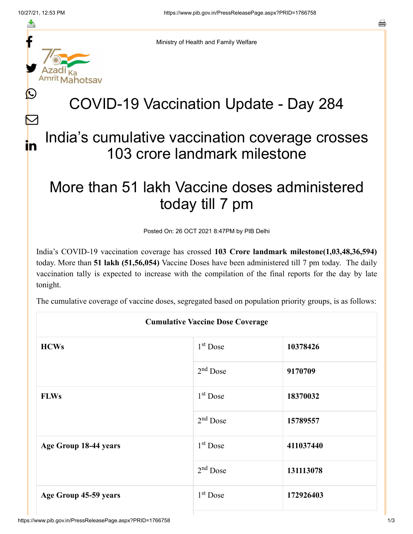≛

 $\bm{\nabla}$ 

in



Ministry of Health and Family Welfare

## COVID-19 Vaccination Update - Day 284

## India's cumulative vaccination coverage crosses 103 crore landmark milestone

## More than 51 lakh Vaccine doses administered today till 7 pm

Posted On: 26 OCT 2021 8:47PM by PIB Delhi

India's COVID-19 vaccination coverage has crossed **103 Crore landmark milestone(1,03,48,36,594)** today. More than **51 lakh (51,56,054)** Vaccine Doses have been administered till 7 pm today. The daily vaccination tally is expected to increase with the compilation of the final reports for the day by late tonight.

The cumulative coverage of vaccine doses, segregated based on population priority groups, is as follows:

| <b>Cumulative Vaccine Dose Coverage</b> |                      |           |  |  |
|-----------------------------------------|----------------------|-----------|--|--|
| <b>HCWs</b>                             | $1st$ Dose           | 10378426  |  |  |
|                                         | $2nd$ Dose           | 9170709   |  |  |
| <b>FLWs</b>                             | 1 <sup>st</sup> Dose | 18370032  |  |  |
|                                         | $2nd$ Dose           | 15789557  |  |  |
| Age Group 18-44 years                   | $1st$ Dose           | 411037440 |  |  |
|                                         | 2 <sup>nd</sup> Dose | 131113078 |  |  |
| Age Group 45-59 years                   | $1st$ Dose           | 172926403 |  |  |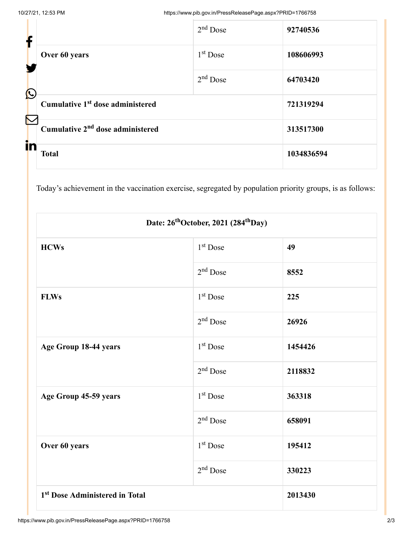| f                     |                                              | $2nd$ Dose | 92740536   |
|-----------------------|----------------------------------------------|------------|------------|
|                       | Over 60 years                                | $1st$ Dose | 108606993  |
| $\bigcirc$            |                                              | $2nd$ Dose | 64703420   |
| $\boldsymbol{\nabla}$ | Cumulative 1 <sup>st</sup> dose administered |            | 721319294  |
|                       | Cumulative 2 <sup>nd</sup> dose administered |            | 313517300  |
| in                    | <b>Total</b>                                 |            | 1034836594 |

Today's achievement in the vaccination exercise, segregated by population priority groups, is as follows:

| Date: 26 <sup>th</sup> October, 2021 (284 <sup>th</sup> Day) |                      |         |  |  |
|--------------------------------------------------------------|----------------------|---------|--|--|
| <b>HCWs</b>                                                  | 1 <sup>st</sup> Dose | 49      |  |  |
|                                                              | $2nd$ Dose           | 8552    |  |  |
| <b>FLWs</b>                                                  | 1 <sup>st</sup> Dose | 225     |  |  |
|                                                              | $2nd$ Dose           | 26926   |  |  |
| Age Group 18-44 years                                        | 1 <sup>st</sup> Dose | 1454426 |  |  |
|                                                              | $2nd$ Dose           | 2118832 |  |  |
| Age Group 45-59 years                                        | 1 <sup>st</sup> Dose | 363318  |  |  |
|                                                              | $2nd$ Dose           | 658091  |  |  |
| Over 60 years                                                | $1st$ Dose           | 195412  |  |  |
|                                                              | $2nd$ Dose           | 330223  |  |  |
| 1 <sup>st</sup> Dose Administered in Total                   |                      | 2013430 |  |  |